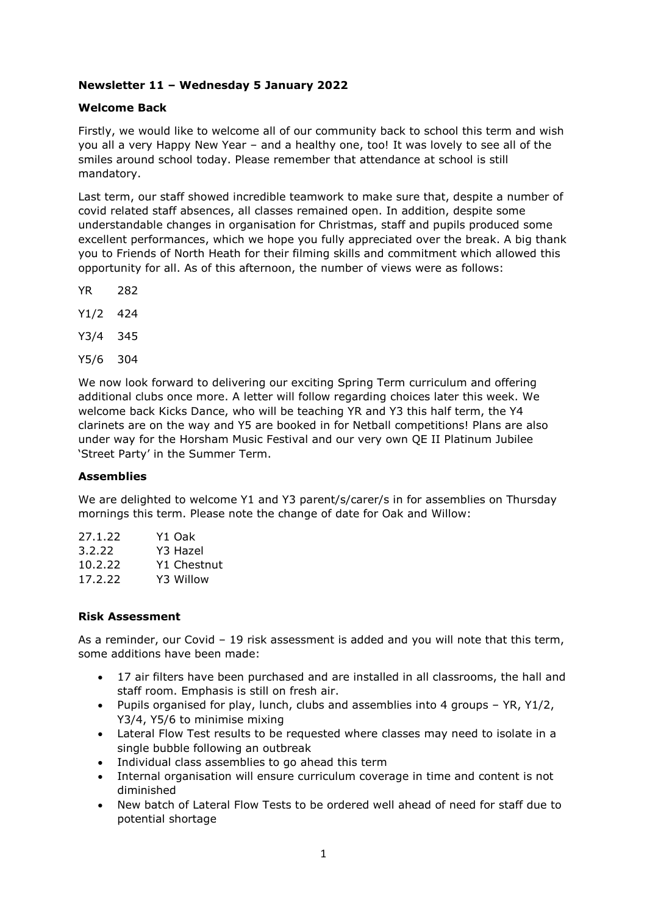# **Newsletter 11 – Wednesday 5 January 2022**

# **Welcome Back**

Firstly, we would like to welcome all of our community back to school this term and wish you all a very Happy New Year – and a healthy one, too! It was lovely to see all of the smiles around school today. Please remember that attendance at school is still mandatory.

Last term, our staff showed incredible teamwork to make sure that, despite a number of covid related staff absences, all classes remained open. In addition, despite some understandable changes in organisation for Christmas, staff and pupils produced some excellent performances, which we hope you fully appreciated over the break. A big thank you to Friends of North Heath for their filming skills and commitment which allowed this opportunity for all. As of this afternoon, the number of views were as follows:

- YR 282
- Y1/2 424
- Y3/4 345
- Y5/6 304

We now look forward to delivering our exciting Spring Term curriculum and offering additional clubs once more. A letter will follow regarding choices later this week. We welcome back Kicks Dance, who will be teaching YR and Y3 this half term, the Y4 clarinets are on the way and Y5 are booked in for Netball competitions! Plans are also under way for the Horsham Music Festival and our very own QE II Platinum Jubilee 'Street Party' in the Summer Term.

# **Assemblies**

We are delighted to welcome Y1 and Y3 parent/s/carer/s in for assemblies on Thursday mornings this term. Please note the change of date for Oak and Willow:

| Y1 Oak      |
|-------------|
| Y3 Hazel    |
| Y1 Chestnut |
| Y3 Willow   |
|             |

# **Risk Assessment**

As a reminder, our Covid – 19 risk assessment is added and you will note that this term, some additions have been made:

- 17 air filters have been purchased and are installed in all classrooms, the hall and staff room. Emphasis is still on fresh air.
- Pupils organised for play, lunch, clubs and assemblies into 4 groups YR, Y1/2, Y3/4, Y5/6 to minimise mixing
- Lateral Flow Test results to be requested where classes may need to isolate in a single bubble following an outbreak
- Individual class assemblies to go ahead this term
- Internal organisation will ensure curriculum coverage in time and content is not diminished
- New batch of Lateral Flow Tests to be ordered well ahead of need for staff due to potential shortage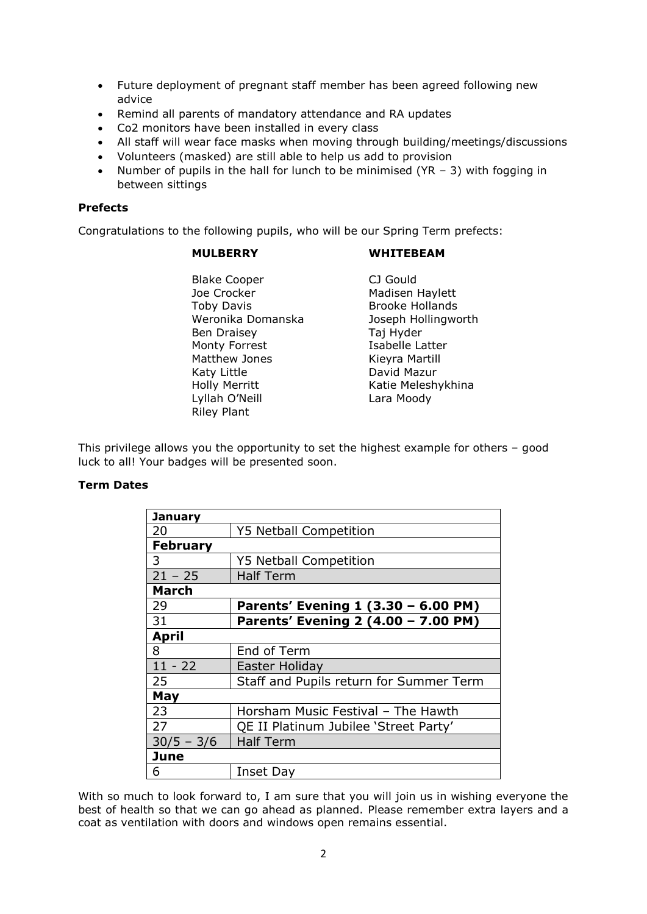- Future deployment of pregnant staff member has been agreed following new advice
- Remind all parents of mandatory attendance and RA updates
- Co2 monitors have been installed in every class
- All staff will wear face masks when moving through building/meetings/discussions
- Volunteers (masked) are still able to help us add to provision
- Number of pupils in the hall for lunch to be minimised ( $YR 3$ ) with fogging in between sittings

# **Prefects**

Congratulations to the following pupils, who will be our Spring Term prefects:

# **MULBERRY WHITEBEAM**

Blake Cooper CJ Gould Joe Crocker **Madisen Haylett** Toby Davis **Brooke Hollands** Weronika Domanska<br>
Joseph Hollingworth Ben Draisey **Taj Hyder** Monty Forrest **Isabelle Latter** Matthew Jones **Kieyra Martill** Katy Little **David Mazur** Holly Merritt **Katie Meleshykhina** Lyllah O'Neill Lara Moody Riley Plant

This privilege allows you the opportunity to set the highest example for others – good luck to all! Your badges will be presented soon.

# **Term Dates**

| <b>January</b>  |                                         |  |
|-----------------|-----------------------------------------|--|
| 20              | <b>Y5 Netball Competition</b>           |  |
| <b>February</b> |                                         |  |
| 3               | <b>Y5 Netball Competition</b>           |  |
| $21 - 25$       | <b>Half Term</b>                        |  |
| <b>March</b>    |                                         |  |
| 29              | Parents' Evening 1 (3.30 - 6.00 PM)     |  |
| 31              | Parents' Evening 2 (4.00 - 7.00 PM)     |  |
| <b>April</b>    |                                         |  |
| 8               | End of Term                             |  |
| $11 - 22$       | Easter Holiday                          |  |
| 25              | Staff and Pupils return for Summer Term |  |
| May             |                                         |  |
| 23              | Horsham Music Festival - The Hawth      |  |
| 27              | QE II Platinum Jubilee 'Street Party'   |  |
| $30/5 - 3/6$    | <b>Half Term</b>                        |  |
| <b>June</b>     |                                         |  |
| 6               | Inset Day                               |  |

With so much to look forward to, I am sure that you will join us in wishing everyone the best of health so that we can go ahead as planned. Please remember extra layers and a coat as ventilation with doors and windows open remains essential.